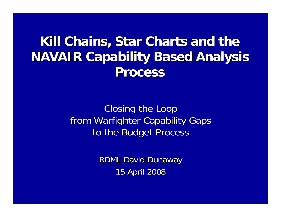**Kill Chains, Star Charts and the NAVAIR Capability Based Analysis Process Process**

> Closing the Loop from Warfighter Capability Gaps to the Budget Process

> > **RDML David Dunaway** 15 April 2008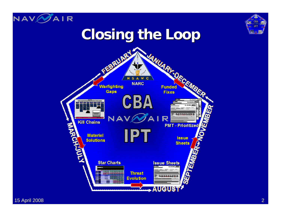



## **Closing the Loop Closing the Loop**

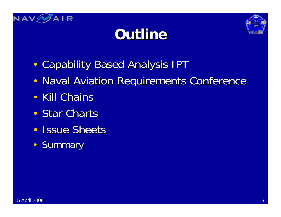

## **Outline Outline**



- $\bullet$ • Capability Based Analysis IPT
- $\bullet$ • Naval Aviation Requirements Conference
- $\bullet$ • Kill Chains
- $\bullet$ • Star Charts
- $\bullet$ • Issue Sheets
- $\bullet$ **Summary**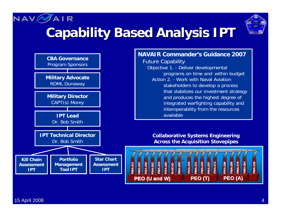#### NAV A I R **Capability Based Analysis IPT Capability Based Analysis IPT**





#### **NAVAIR Commander's Guidance 2007**

Future Capability Objective 1. - Deliver developmental programs on time and within budget Action 2. - Work with Naval Aviation stakeholders to develop a process that stabilizes our investment strategy and produces the highest degree of integrated warfighting capability and interoperability from the resources available

**Collaborative Systems Engineering Across the Acquisition Stovepipes**

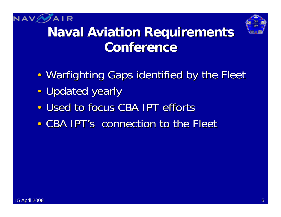



## **Naval Aviation Requirements Conference Conference**

- $\bullet$ • Warfighting Gaps identified by the Fleet
- $\bullet$ • Updated yearly
- $\bullet$ • Used to focus CBA IPT efforts
- $\bullet$ • CBA IPT's connection to the Fleet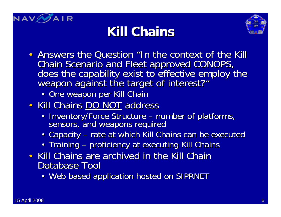





- Answers the Question "In the context of the Kill Chain Scenario and Fleet approved CONOPS,<br>does the capability exist to effective employ the<br>weapon against the target of interest?"
	- One weapon per Kill Chain
- Kill Chains DO NOT address
	- Inventory/Force Structure number of platforms, sensors, and weapons required
	- Capacity rate at which Kill Chains can be executed
	- Training proficiency at executing Kill Chains
- Kill Chains are archived in the Kill Chain Database Tool
	- Web based application hosted on SIPRNET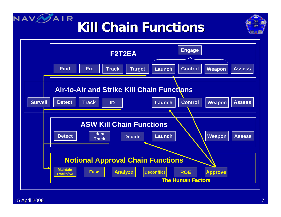#### NAVE **AIR Kill Chain Functions Kill Chain Functions**



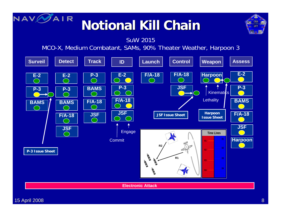

## **Notional Kill Chain Notional Kill Chain**



SuW 2015

MCO-X, Medium Combatant, SAMs, 90% Theater Weather, Harpoon 3

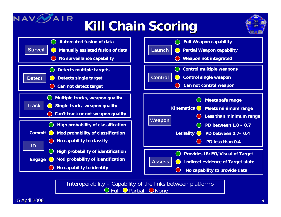# **Kill Chain Scoring**





Interoperability – Capability of the links between platforms **DFull OPartial ONone** 

15 April 2008  $\,$  .  $\,$  .  $\,$  .  $\,$  .  $\,$  .  $\,$  .  $\,$  .  $\,$  .  $\,$  .  $\,$  .  $\,$  .  $\,$  .  $\,$  .  $\,$  .  $\,$  .  $\,$  .  $\,$  .  $\,$  .  $\,$  .  $\,$  .  $\,$  .  $\,$  .  $\,$  .  $\,$  .  $\,$  .  $\,$  .  $\,$  .  $\,$  .  $\,$  .  $\,$ 

NAV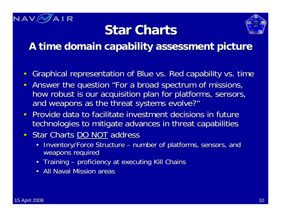![](_page_9_Picture_0.jpeg)

### **Star Charts**

![](_page_9_Picture_2.jpeg)

#### **A time domain capability assessment picture A time domain capability assessment picture**

- $\bullet$ Graphical representation of Blue vs. Red capability vs. time
- Answer the question "For a broad spectrum of missions, how robust is our acquisition plan for platforms, sensors, and weapons as the threat systems evolve?"
- Provide data to facilitate investment decisions in future technologies to mitigate advances in threat capabilities
- Star Charts DO NOT address
	- $\bullet$ Inventory/Force Structure – number of platforms, sensors, and weapons required
	- Training proficiency at executing Kill Chains
	- All Naval Mission areas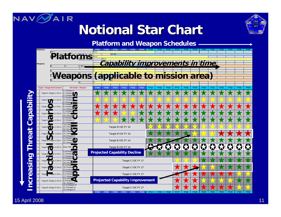![](_page_10_Picture_0.jpeg)

#### **Notional Star Chart Notional Star Chart**

![](_page_10_Picture_2.jpeg)

![](_page_10_Figure_3.jpeg)

![](_page_10_Figure_4.jpeg)

15 April 2008 15 April 2008 11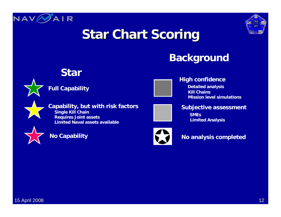![](_page_11_Picture_0.jpeg)

![](_page_11_Picture_1.jpeg)

### **Star Chart Scoring**

#### **Background**

![](_page_11_Picture_4.jpeg)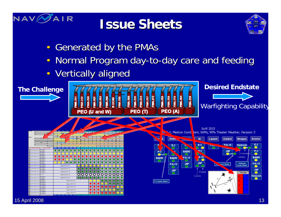![](_page_12_Picture_0.jpeg)

#### **Issue Sheets Issue Sheets**

![](_page_12_Figure_2.jpeg)

- $\bullet$ Generated by the PMAs
- $\bullet$ Normal Program day-to-day care and feeding
- •**Vertically aligned**

![](_page_12_Figure_6.jpeg)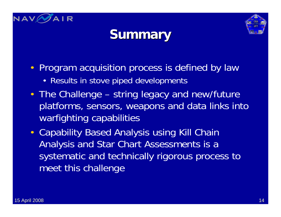![](_page_13_Picture_0.jpeg)

![](_page_13_Picture_1.jpeg)

### **Summary Summary**

- Program acquisition process is defined by law
	- Results in stove piped developments
- The Challenge string legacy and new/future platforms, sensors, weapons and data links into warfighting capabilities
- Capability Based Analysis using Kill Chain Analysis and Star Chart Assessments is a systematic and technically rigorous process to meet this challenge